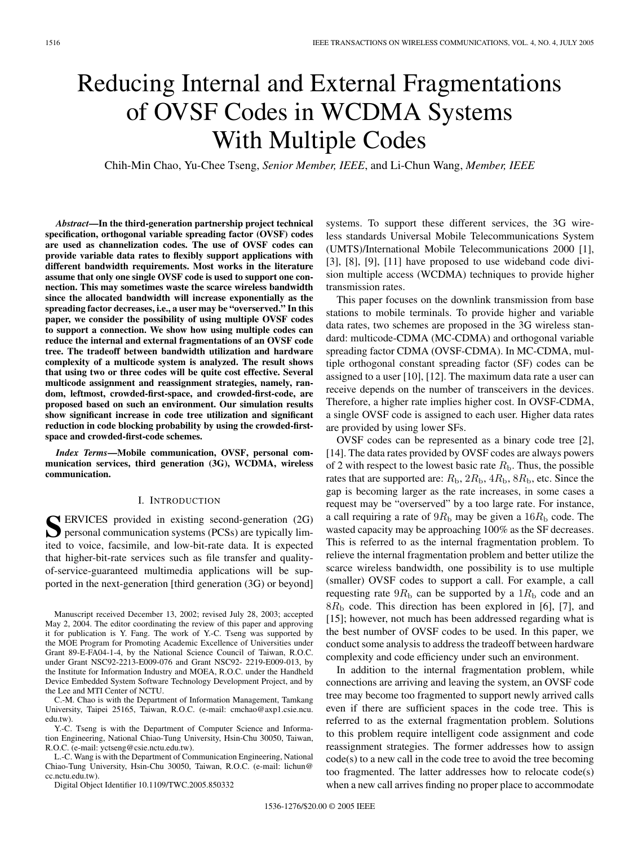# Reducing Internal and External Fragmentations of OVSF Codes in WCDMA Systems With Multiple Codes

Chih-Min Chao, Yu-Chee Tseng, *Senior Member, IEEE*, and Li-Chun Wang, *Member, IEEE*

*Abstract***—In the third-generation partnership project technical specification, orthogonal variable spreading factor (OVSF) codes are used as channelization codes. The use of OVSF codes can provide variable data rates to flexibly support applications with different bandwidth requirements. Most works in the literature assume that only one single OVSF code is used to support one connection. This may sometimes waste the scarce wireless bandwidth since the allocated bandwidth will increase exponentially as the spreading factor decreases, i.e., a user may be "overserved." In this paper, we consider the possibility of using multiple OVSF codes to support a connection. We show how using multiple codes can reduce the internal and external fragmentations of an OVSF code tree. The tradeoff between bandwidth utilization and hardware complexity of a multicode system is analyzed. The result shows that using two or three codes will be quite cost effective. Several multicode assignment and reassignment strategies, namely, random, leftmost, crowded-first-space, and crowded-first-code, are proposed based on such an environment. Our simulation results show significant increase in code tree utilization and significant reduction in code blocking probability by using the crowded-firstspace and crowded-first-code schemes.**

*Index Terms***—Mobile communication, OVSF, personal communication services, third generation (3G), WCDMA, wireless communication.**

#### I. INTRODUCTION

**S** ERVICES provided in existing second-generation (2G) personal communication systems (PCSs) are typically limited to voice, facsimile, and low-bit-rate data. It is expected that higher-bit-rate services such as file transfer and qualityof-service-guaranteed multimedia applications will be supported in the next-generation [third generation (3G) or beyond]

C.-M. Chao is with the Department of Information Management, Tamkang University, Taipei 25165, Taiwan, R.O.C. (e-mail: cmchao@axp1.csie.ncu. edu.tw).

Y.-C. Tseng is with the Department of Computer Science and Information Engineering, National Chiao-Tung University, Hsin-Chu 30050, Taiwan, R.O.C. (e-mail: yctseng@csie.nctu.edu.tw).

L.-C. Wang is with the Department of Communication Engineering, National Chiao-Tung University, Hsin-Chu 30050, Taiwan, R.O.C. (e-mail: lichun@ cc.nctu.edu.tw).

Digital Object Identifier 10.1109/TWC.2005.850332

systems. To support these different services, the 3G wireless standards Universal Mobile Telecommunications System (UMTS)/International Mobile Telecommunications 2000 [1], [3], [8], [9], [11] have proposed to use wideband code division multiple access (WCDMA) techniques to provide higher transmission rates.

This paper focuses on the downlink transmission from base stations to mobile terminals. To provide higher and variable data rates, two schemes are proposed in the 3G wireless standard: multicode-CDMA (MC-CDMA) and orthogonal variable spreading factor CDMA (OVSF-CDMA). In MC-CDMA, multiple orthogonal constant spreading factor (SF) codes can be assigned to a user [10], [12]. The maximum data rate a user can receive depends on the number of transceivers in the devices. Therefore, a higher rate implies higher cost. In OVSF-CDMA, a single OVSF code is assigned to each user. Higher data rates are provided by using lower SFs.

OVSF codes can be represented as a binary code tree [2], [14]. The data rates provided by OVSF codes are always powers of 2 with respect to the lowest basic rate  $R<sub>b</sub>$ . Thus, the possible rates that are supported are:  $R_{\rm b}$ ,  $2R_{\rm b}$ ,  $4R_{\rm b}$ ,  $8R_{\rm b}$ , etc. Since the gap is becoming larger as the rate increases, in some cases a request may be "overserved" by a too large rate. For instance, a call requiring a rate of  $9R<sub>b</sub>$  may be given a  $16R<sub>b</sub>$  code. The wasted capacity may be approaching 100% as the SF decreases. This is referred to as the internal fragmentation problem. To relieve the internal fragmentation problem and better utilize the scarce wireless bandwidth, one possibility is to use multiple (smaller) OVSF codes to support a call. For example, a call requesting rate  $9R<sub>b</sub>$  can be supported by a  $1R<sub>b</sub>$  code and an  $8R<sub>b</sub>$  code. This direction has been explored in [6], [7], and [15]; however, not much has been addressed regarding what is the best number of OVSF codes to be used. In this paper, we conduct some analysis to address the tradeoff between hardware complexity and code efficiency under such an environment.

In addition to the internal fragmentation problem, while connections are arriving and leaving the system, an OVSF code tree may become too fragmented to support newly arrived calls even if there are sufficient spaces in the code tree. This is referred to as the external fragmentation problem. Solutions to this problem require intelligent code assignment and code reassignment strategies. The former addresses how to assign code(s) to a new call in the code tree to avoid the tree becoming too fragmented. The latter addresses how to relocate code(s) when a new call arrives finding no proper place to accommodate

Manuscript received December 13, 2002; revised July 28, 2003; accepted May 2, 2004. The editor coordinating the review of this paper and approving it for publication is Y. Fang. The work of Y.-C. Tseng was supported by the MOE Program for Promoting Academic Excellence of Universities under Grant 89-E-FA04-1-4, by the National Science Council of Taiwan, R.O.C. under Grant NSC92-2213-E009-076 and Grant NSC92- 2219-E009-013, by the Institute for Information Industry and MOEA, R.O.C. under the Handheld Device Embedded System Software Technology Development Project, and by the Lee and MTI Center of NCTU.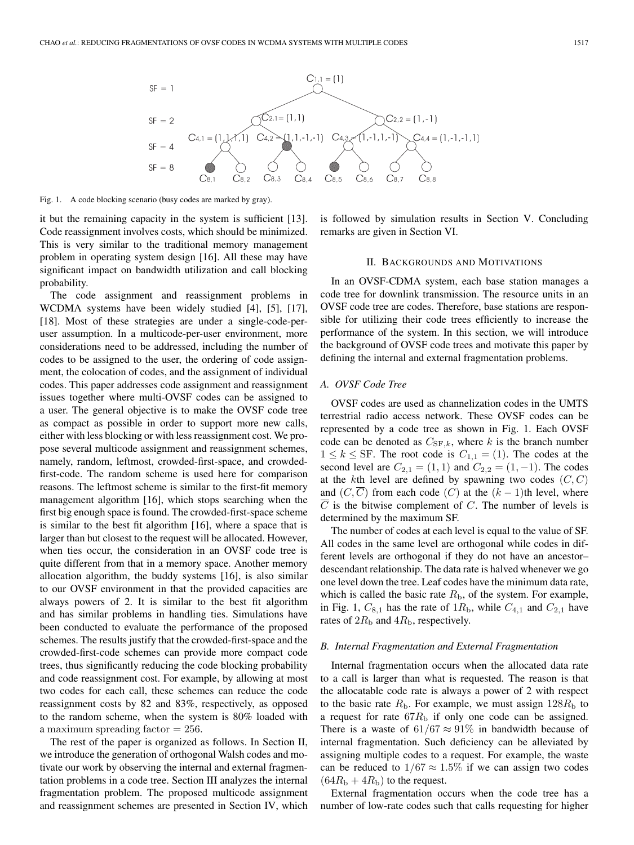

Fig. 1. A code blocking scenario (busy codes are marked by gray).

it but the remaining capacity in the system is sufficient [13]. Code reassignment involves costs, which should be minimized. This is very similar to the traditional memory management problem in operating system design [16]. All these may have significant impact on bandwidth utilization and call blocking probability.

The code assignment and reassignment problems in WCDMA systems have been widely studied [4], [5], [17], [18]. Most of these strategies are under a single-code-peruser assumption. In a multicode-per-user environment, more considerations need to be addressed, including the number of codes to be assigned to the user, the ordering of code assignment, the colocation of codes, and the assignment of individual codes. This paper addresses code assignment and reassignment issues together where multi-OVSF codes can be assigned to a user. The general objective is to make the OVSF code tree as compact as possible in order to support more new calls, either with less blocking or with less reassignment cost. We propose several multicode assignment and reassignment schemes, namely, random, leftmost, crowded-first-space, and crowdedfirst-code. The random scheme is used here for comparison reasons. The leftmost scheme is similar to the first-fit memory management algorithm [16], which stops searching when the first big enough space is found. The crowded-first-space scheme is similar to the best fit algorithm [16], where a space that is larger than but closest to the request will be allocated. However, when ties occur, the consideration in an OVSF code tree is quite different from that in a memory space. Another memory allocation algorithm, the buddy systems [16], is also similar to our OVSF environment in that the provided capacities are always powers of 2. It is similar to the best fit algorithm and has similar problems in handling ties. Simulations have been conducted to evaluate the performance of the proposed schemes. The results justify that the crowded-first-space and the crowded-first-code schemes can provide more compact code trees, thus significantly reducing the code blocking probability and code reassignment cost. For example, by allowing at most two codes for each call, these schemes can reduce the code reassignment costs by 82 and 83%, respectively, as opposed to the random scheme, when the system is 80% loaded with a maximum spreading factor  $= 256$ .

The rest of the paper is organized as follows. In Section II, we introduce the generation of orthogonal Walsh codes and motivate our work by observing the internal and external fragmentation problems in a code tree. Section III analyzes the internal fragmentation problem. The proposed multicode assignment and reassignment schemes are presented in Section IV, which is followed by simulation results in Section V. Concluding remarks are given in Section VI.

## II. BACKGROUNDS AND MOTIVATIONS

In an OVSF-CDMA system, each base station manages a code tree for downlink transmission. The resource units in an OVSF code tree are codes. Therefore, base stations are responsible for utilizing their code trees efficiently to increase the performance of the system. In this section, we will introduce the background of OVSF code trees and motivate this paper by defining the internal and external fragmentation problems.

### *A. OVSF Code Tree*

OVSF codes are used as channelization codes in the UMTS terrestrial radio access network. These OVSF codes can be represented by a code tree as shown in Fig. 1. Each OVSF code can be denoted as  $C_{SF,k}$ , where k is the branch number  $1 \leq k \leq$  SF. The root code is  $C_{1,1} = (1)$ . The codes at the second level are  $C_{2,1} = (1, 1)$  and  $C_{2,2} = (1, -1)$ . The codes at the kth level are defined by spawning two codes  $(C, C)$ and  $(C, \overline{C})$  from each code  $(C)$  at the  $(k-1)$ th level, where  $\overline{C}$  is the bitwise complement of C. The number of levels is determined by the maximum SF.

The number of codes at each level is equal to the value of SF. All codes in the same level are orthogonal while codes in different levels are orthogonal if they do not have an ancestor– descendant relationship. The data rate is halved whenever we go one level down the tree. Leaf codes have the minimum data rate, which is called the basic rate  $R<sub>b</sub>$ , of the system. For example, in Fig. 1,  $C_{8,1}$  has the rate of  $1R_b$ , while  $C_{4,1}$  and  $C_{2,1}$  have rates of  $2R<sub>b</sub>$  and  $4R<sub>b</sub>$ , respectively.

#### *B. Internal Fragmentation and External Fragmentation*

Internal fragmentation occurs when the allocated data rate to a call is larger than what is requested. The reason is that the allocatable code rate is always a power of 2 with respect to the basic rate  $R<sub>b</sub>$ . For example, we must assign  $128R<sub>b</sub>$  to a request for rate  $67R<sub>b</sub>$  if only one code can be assigned. There is a waste of  $61/67 \approx 91\%$  in bandwidth because of internal fragmentation. Such deficiency can be alleviated by assigning multiple codes to a request. For example, the waste can be reduced to  $1/67 \approx 1.5\%$  if we can assign two codes  $(64R<sub>b</sub> + 4R<sub>b</sub>)$  to the request.

External fragmentation occurs when the code tree has a number of low-rate codes such that calls requesting for higher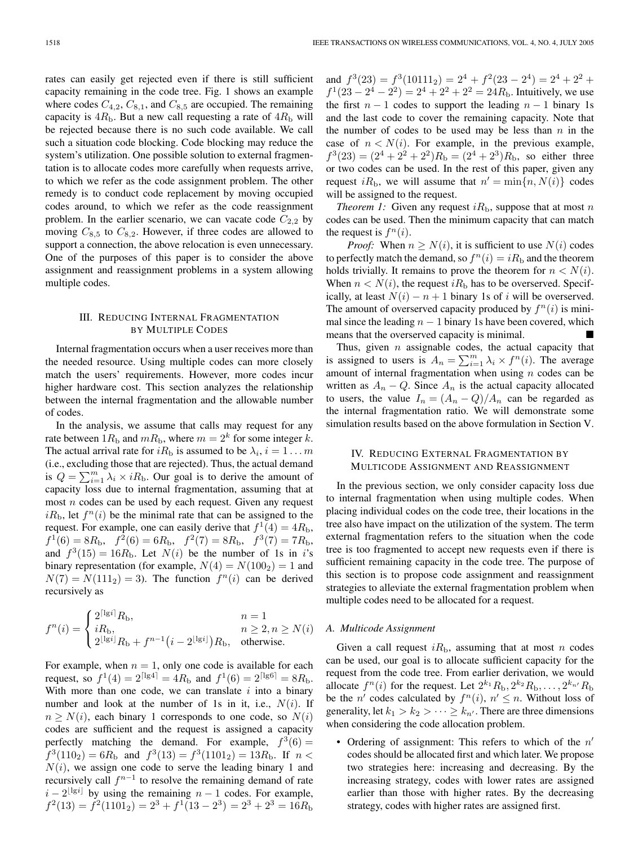rates can easily get rejected even if there is still sufficient capacity remaining in the code tree. Fig. 1 shows an example where codes  $C_{4,2}$ ,  $C_{8,1}$ , and  $C_{8,5}$  are occupied. The remaining capacity is  $4R<sub>b</sub>$ . But a new call requesting a rate of  $4R<sub>b</sub>$  will be rejected because there is no such code available. We call such a situation code blocking. Code blocking may reduce the system's utilization. One possible solution to external fragmentation is to allocate codes more carefully when requests arrive, to which we refer as the code assignment problem. The other remedy is to conduct code replacement by moving occupied codes around, to which we refer as the code reassignment problem. In the earlier scenario, we can vacate code  $C_{2,2}$  by moving  $C_{8,5}$  to  $C_{8,2}$ . However, if three codes are allowed to support a connection, the above relocation is even unnecessary. One of the purposes of this paper is to consider the above assignment and reassignment problems in a system allowing multiple codes.

## III. REDUCING INTERNAL FRAGMENTATION BY MULTIPLE CODES

Internal fragmentation occurs when a user receives more than the needed resource. Using multiple codes can more closely match the users' requirements. However, more codes incur higher hardware cost. This section analyzes the relationship between the internal fragmentation and the allowable number of codes.

In the analysis, we assume that calls may request for any rate between  $1R_b$  and  $mR_b$ , where  $m = 2<sup>k</sup>$  for some integer k. The actual arrival rate for  $iR_b$  is assumed to be  $\lambda_i$ ,  $i = 1...m$ (i.e., excluding those that are rejected). Thus, the actual demand is  $Q = \sum_{i=1}^{m} \lambda_i \times iR_{\text{b}}$ . Our goal is to derive the amount of capacity loss due to internal fragmentation, assuming that at capacity loss due to internal fragmentation, assuming that at most  $n$  codes can be used by each request. Given any request  $iR_{\rm b}$ , let  $f^n(i)$  be the minimal rate that can be assigned to the request. For example, and can opply derive that  $f_1^1(1) - 4R$ request. For example, one can easily derive that  $f^1(4) = 4R_b$ ,  $f^1(6) = 8R_{\rm b}, \quad f^2(6) = 6R_{\rm b}, \quad f^2(7) = 8R_{\rm b}, \quad f^3(7) = 7R_{\rm b},$ and  $f^3(15) = 16R_b$ . Let  $N(i)$  be the number of 1s in i's binary representation (for example,  $N(4) = N(100<sub>2</sub>) = 1$  and  $N(7) = N(111<sub>2</sub>) = 3$ . The function  $f<sup>n</sup>(i)$  can be derived recursively as

$$
f^{n}(i) = \begin{cases} 2^{\lceil \lg i \rceil} R_{\rm b}, & n = 1\\ iR_{\rm b}, & n \ge 2, n \ge N(i) \\ 2^{\lfloor \lg i \rfloor} R_{\rm b} + f^{n-1} (i - 2^{\lfloor \lg i \rfloor}) R_{\rm b}, & \text{otherwise.} \end{cases}
$$

For example, when  $n = 1$ , only one code is available for each request, so  $f^1(4) = 2^{\lceil \lg 4 \rceil} = 4R_{\rm b}$  and  $f^1(6) = 2^{\lceil \lg 6 \rceil} = 8R_{\rm b}$ . With more than one code, we can translate  $i$  into a binary number and look at the number of 1s in it, i.e.,  $N(i)$ . If  $n \geq N(i)$ , each binary 1 corresponds to one code, so  $N(i)$ codes are sufficient and the request is assigned a capacity perfectly matching the demand. For example,  $f^3(6) =$  $f^3(110_2)=6R_b$  and  $f^3(13) = f^3(1101_2) = 13R_b$ . If  $n <$  $N(i)$ , we assign one code to serve the leading binary 1 and recursively call  $f^{n-1}$  to resolve the remaining demand of rate  $i - 2^{\lfloor \lg i \rfloor}$  by using the remaining  $n - 1$  codes. For example,  $f^{2}(13) = f^{2}(1101_{2}) = 2^{3} + f^{1}(13 - 2^{3}) = 2^{3} + 2^{3} = 16R_{b}$  and  $f^3(23) = f^3(10111_2) = 2^4 + f^2(23 - 2^4) = 2^4 + 2^2 +$  $f<sup>1</sup>(23 - 2<sup>4</sup> - 2<sup>2</sup>) = 2<sup>4</sup> + 2<sup>2</sup> + 2<sup>2</sup> = 24R<sub>b</sub>$ . Intuitively, we use the first  $n - 1$  codes to support the leading  $n - 1$  binary 1s and the last code to cover the remaining capacity. Note that the number of codes to be used may be less than  $n$  in the case of  $n < N(i)$ . For example, in the previous example,  $f^3(23) = (2^4 + 2^2 + 2^2)R_b = (2^4 + 2^3)R_b$ , so either three or two codes can be used. In the rest of this paper, given any request  $iR_b$ , we will assume that  $n' = \min\{n, N(i)\}\)$  codes will be assigned to the request.

*Theorem 1:* Given any request  $iR_b$ , suppose that at most n codes can be used. Then the minimum capacity that can match the request is  $f^n(i)$ .

*Proof:* When  $n \geq N(i)$ , it is sufficient to use  $N(i)$  codes to perfectly match the demand, so  $f^n(i) = iR_b$  and the theorem holds trivially. It remains to prove the theorem for  $n < N(i)$ . When  $n < N(i)$ , the request  $iR<sub>b</sub>$  has to be overserved. Specifically, at least  $N(i) - n + 1$  binary 1s of i will be overserved. The amount of overserved capacity produced by  $f^{n}(i)$  is minimal since the leading  $n - 1$  binary 1s have been covered, which means that the overserved capacity is minimal.

Thus, given  $n$  assignable codes, the actual capacity that is assigned to users is  $A_n = \sum_{i=1}^m \lambda_i \times f^n(i)$ . The average amount of internal fragmentation when using  $n$  codes can be written as  $A_n - Q$ . Since  $A_n$  is the actual capacity allocated to users, the value  $I_n = (A_n - Q)/A_n$  can be regarded as the internal fragmentation ratio. We will demonstrate some simulation results based on the above formulation in Section V.

# IV. REDUCING EXTERNAL FRAGMENTATION BY MULTICODE ASSIGNMENT AND REASSIGNMENT

In the previous section, we only consider capacity loss due to internal fragmentation when using multiple codes. When placing individual codes on the code tree, their locations in the tree also have impact on the utilization of the system. The term external fragmentation refers to the situation when the code tree is too fragmented to accept new requests even if there is sufficient remaining capacity in the code tree. The purpose of this section is to propose code assignment and reassignment strategies to alleviate the external fragmentation problem when multiple codes need to be allocated for a request.

# *A. Multicode Assignment*

Given a call request  $iR<sub>b</sub>$ , assuming that at most n codes can be used, our goal is to allocate sufficient capacity for the request from the code tree. From earlier derivation, we would allocate  $f^{n}(i)$  for the request. Let  $2^{k_1}R_{b_1}, 2^{k_2}R_{b_2}, \ldots, 2^{k_{n'}}R_{b_n}$ be the *n'* codes calculated by  $f^n(i)$ ,  $n' \leq n$ . Without loss of generality, let  $k_1 > k_2 > \cdots \geq k_{n'}$ . There are three dimensions when considering the code allocation problem.

• Ordering of assignment: This refers to which of the  $n'$ codes should be allocated first and which later. We propose two strategies here: increasing and decreasing. By the increasing strategy, codes with lower rates are assigned earlier than those with higher rates. By the decreasing strategy, codes with higher rates are assigned first.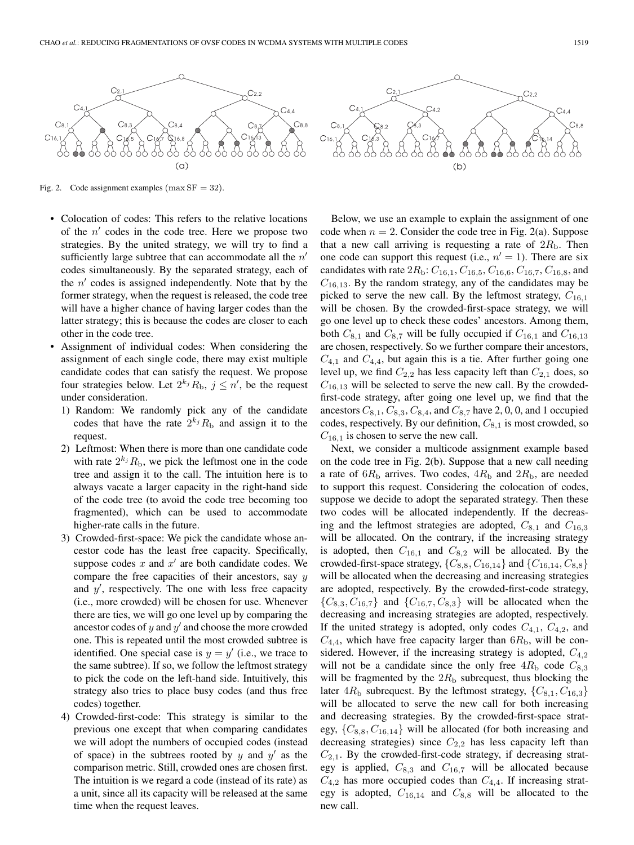

Fig. 2. Code assignment examples ( $max SF = 32$ ).

- Colocation of codes: This refers to the relative locations of the  $n'$  codes in the code tree. Here we propose two strategies. By the united strategy, we will try to find a sufficiently large subtree that can accommodate all the  $n'$ codes simultaneously. By the separated strategy, each of the  $n'$  codes is assigned independently. Note that by the former strategy, when the request is released, the code tree will have a higher chance of having larger codes than the latter strategy; this is because the codes are closer to each other in the code tree.
- Assignment of individual codes: When considering the assignment of each single code, there may exist multiple candidate codes that can satisfy the request. We propose four strategies below. Let  $2^{k_j}R_b$ ,  $j \leq n'$ , be the request under consideration.
	- 1) Random: We randomly pick any of the candidate codes that have the rate  $2^{k_j}R_b$  and assign it to the request.
	- 2) Leftmost: When there is more than one candidate code with rate  $2^{k_j}R_b$ , we pick the leftmost one in the code tree and assign it to the call. The intuition here is to always vacate a larger capacity in the right-hand side of the code tree (to avoid the code tree becoming too fragmented), which can be used to accommodate higher-rate calls in the future.
	- 3) Crowded-first-space: We pick the candidate whose ancestor code has the least free capacity. Specifically, suppose codes  $x$  and  $x'$  are both candidate codes. We compare the free capacities of their ancestors, say  $y$ and  $y'$ , respectively. The one with less free capacity (i.e., more crowded) will be chosen for use. Whenever there are ties, we will go one level up by comparing the ancestor codes of  $y$  and  $y'$  and choose the more crowded one. This is repeated until the most crowded subtree is identified. One special case is  $y = y'$  (i.e., we trace to the same subtree). If so, we follow the leftmost strategy to pick the code on the left-hand side. Intuitively, this strategy also tries to place busy codes (and thus free codes) together.
	- 4) Crowded-first-code: This strategy is similar to the previous one except that when comparing candidates we will adopt the numbers of occupied codes (instead of space) in the subtrees rooted by  $y$  and  $y'$  as the comparison metric. Still, crowded ones are chosen first. The intuition is we regard a code (instead of its rate) as a unit, since all its capacity will be released at the same time when the request leaves.

Below, we use an example to explain the assignment of one code when  $n = 2$ . Consider the code tree in Fig. 2(a). Suppose that a new call arriving is requesting a rate of  $2R<sub>b</sub>$ . Then one code can support this request (i.e.,  $n' = 1$ ). There are six candidates with rate  $2R_b$ :  $C_{16,1}$ ,  $C_{16,5}$ ,  $C_{16,6}$ ,  $C_{16,7}$ ,  $C_{16,8}$ , and  $C_{16,13}$ . By the random strategy, any of the candidates may be rejected to come the new sell. By the leftmest strategy,  $C$ picked to serve the new call. By the leftmost strategy,  $C_{16,1}$ will be chosen. By the crowded-first-space strategy, we will go one level up to check these codes' ancestors. Among them, both  $C_{8,1}$  and  $C_{8,7}$  will be fully occupied if  $C_{16,1}$  and  $C_{16,13}$ are chosen, respectively. So we further compare their ancestors,  $C_{4,1}$  and  $C_{4,4}$ , but again this is a tie. After further going one<br>layed up we find  $C_{4,4}$  has less especity left than  $C_{4,4}$  deep as level up, we find  $C_{2,2}$  has less capacity left than  $C_{2,1}$  does, so  $C_{16,13}$  will be selected to serve the new call. By the crowded-<br>first and a strategy often aging and layed up we find that the first-code strategy, after going one level up, we find that the ancestors  $C_{8,1}$ ,  $C_{8,3}$ ,  $C_{8,4}$ , and  $C_{8,7}$  have 2, 0, 0, and 1 occupied codes, respectively. By our definition,  $C_{8,1}$  is most crowded, so  $C_{16,1}$  is chosen to serve the new call.

Next, we consider a multicode assignment example based on the code tree in Fig. 2(b). Suppose that a new call needing a rate of  $6R_b$  arrives. Two codes,  $4R_b$  and  $2R_b$ , are needed to support this request. Considering the colocation of codes, suppose we decide to adopt the separated strategy. Then these two codes will be allocated independently. If the decreasing and the leftmost strategies are adopted,  $C_{8,1}$  and  $C_{16,3}$ will be allocated. On the contrary, if the increasing strategy is adopted, then  $C_{16,1}$  and  $C_{8,2}$  will be allocated. By the crowded-first-space strategy,  $\{C_{8,8}, C_{16,14}\}$  and  $\{C_{16,14}, C_{8,8}\}$ will be allocated when the decreasing and increasing strategies are adopted, respectively. By the crowded-first-code strategy,  $\{C_{8,3}, C_{16,7}\}\$  and  $\{C_{16,7}, C_{8,3}\}\$  will be allocated when the decreasing and increasing strategies are adopted, respectively. If the united strategy is adopted, only codes  $C_{4,1}$ ,  $C_{4,2}$ , and  $C_{4,4}$ , which have free capacity larger than  $6R_{\rm b}$ , will be con-<br>cidental Haussian if the increasing states is adopted C sidered. However, if the increasing strategy is adopted, <sup>C</sup>4*,*2 will not be a candidate since the only free  $4R<sub>b</sub>$  code  $C<sub>8,3</sub>$ will be fragmented by the  $2R<sub>b</sub>$  subrequest, thus blocking the later  $4R_b$  subrequest. By the leftmost strategy,  $\{C_{8,1}, C_{16,3}\}\$ will be allocated to serve the new call for both increasing and decreasing strategies. By the crowded-first-space strategy, {C8*,*8, C16*,*14} will be allocated (for both increasing and decreasing strategies) since  $C_{2,2}$  has less capacity left than  $C_{2,1}$ . By the crowded-first-code strategy, if decreasing strat-<br> $C_{1,2}$  and  $C_{2,3}$  will be allocated because egy is applied,  $C_{8,3}$  and  $C_{16,7}$  will be allocated because  $\widetilde{C}_{4,2}$  has more occupied codes than  $C_{4,4}$ . If increasing strategy is adopted,  $C_{16,14}$  and  $C_{8,8}$  will be allocated to the new call.

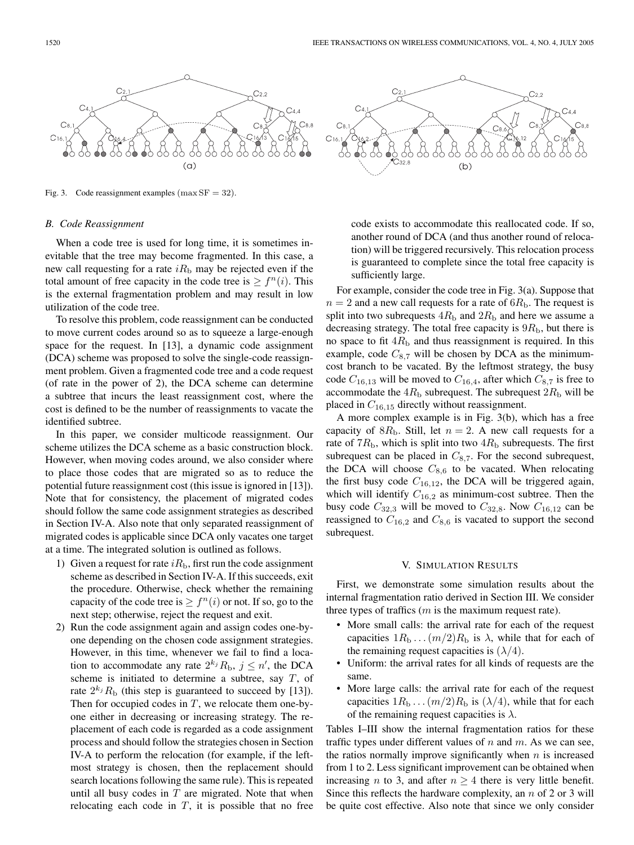

Fig. 3. Code reassignment examples ( $max SF = 32$ ).

#### *B. Code Reassignment*

When a code tree is used for long time, it is sometimes inevitable that the tree may become fragmented. In this case, a new call requesting for a rate  $iR<sub>b</sub>$  may be rejected even if the total amount of free capacity in the code tree is  $\geq f^{n}(i)$ . This is the external fragmentation problem and may result in low utilization of the code tree.

To resolve this problem, code reassignment can be conducted to move current codes around so as to squeeze a large-enough space for the request. In [13], a dynamic code assignment (DCA) scheme was proposed to solve the single-code reassignment problem. Given a fragmented code tree and a code request (of rate in the power of 2), the DCA scheme can determine a subtree that incurs the least reassignment cost, where the cost is defined to be the number of reassignments to vacate the identified subtree.

In this paper, we consider multicode reassignment. Our scheme utilizes the DCA scheme as a basic construction block. However, when moving codes around, we also consider where to place those codes that are migrated so as to reduce the potential future reassignment cost (this issue is ignored in [13]). Note that for consistency, the placement of migrated codes should follow the same code assignment strategies as described in Section IV-A. Also note that only separated reassignment of migrated codes is applicable since DCA only vacates one target at a time. The integrated solution is outlined as follows.

- 1) Given a request for rate  $iR<sub>b</sub>$ , first run the code assignment scheme as described in Section IV-A. If this succeeds, exit the procedure. Otherwise, check whether the remaining capacity of the code tree is  $\geq f^{(n)}(i)$  or not. If so, go to the next step; otherwise, reject the request and exit.
- 2) Run the code assignment again and assign codes one-byone depending on the chosen code assignment strategies. However, in this time, whenever we fail to find a location to accommodate any rate  $2^{k_j}R_b$ ,  $j \leq n'$ , the DCA scheme is initiated to determine a subtree, say  $T$ , of rate  $2^{k_j}R_b$  (this step is guaranteed to succeed by [13]). Then for occupied codes in  $T$ , we relocate them one-byone either in decreasing or increasing strategy. The replacement of each code is regarded as a code assignment process and should follow the strategies chosen in Section IV-A to perform the relocation (for example, if the leftmost strategy is chosen, then the replacement should search locations following the same rule). This is repeated until all busy codes in  $T$  are migrated. Note that when relocating each code in  $T$ , it is possible that no free



code exists to accommodate this reallocated code. If so, another round of DCA (and thus another round of relocation) will be triggered recursively. This relocation process is guaranteed to complete since the total free capacity is sufficiently large.

For example, consider the code tree in Fig. 3(a). Suppose that  $n = 2$  and a new call requests for a rate of  $6R<sub>b</sub>$ . The request is split into two subrequests  $4R<sub>b</sub>$  and  $2R<sub>b</sub>$  and here we assume a decreasing strategy. The total free capacity is  $9R<sub>b</sub>$ , but there is no space to fit  $4R<sub>b</sub>$  and thus reassignment is required. In this example, code  $C_{8,7}$  will be chosen by DCA as the minimumcost branch to be vacated. By the leftmost strategy, the busy code  $C_{16,13}$  will be moved to  $C_{16,4}$ , after which  $C_{8,7}$  is free to accommodate the  $4R<sub>b</sub>$  subrequest. The subrequest  $2R<sub>b</sub>$  will be placed in <sup>C</sup>16*,*15 directly without reassignment.

A more complex example is in Fig. 3(b), which has a free capacity of  $8R_b$ . Still, let  $n = 2$ . A new call requests for a rate of  $7R_{\rm b}$ , which is split into two  $4R_{\rm b}$  subrequests. The first subrequest can be placed in  $C_{8,7}$ . For the second subrequest, the DCA will choose  $C_{8,6}$  to be vacated. When relocating the first busy code  $C_{16,12}$ , the DCA will be triggered again, which will identify  $C_{16,2}$  as minimum-cost subtree. Then the busy code  $C_{32,3}$  will be moved to  $C_{32,8}$ . Now  $C_{16,12}$  can be reassigned to  $C_{16,2}$  and  $C_{8,6}$  is vacated to support the second subrequest.

#### V. SIMULATION RESULTS

First, we demonstrate some simulation results about the internal fragmentation ratio derived in Section III. We consider three types of traffics  $(m \text{ is the maximum request rate}).$ 

- More small calls: the arrival rate for each of the request capacities  $1R_b \dots (m/2)R_b$  is  $\lambda$ , while that for each of the remaining request capacities is  $(\lambda/4)$ .
- Uniform: the arrival rates for all kinds of requests are the same.
- More large calls: the arrival rate for each of the request capacities  $1R_b \dots (m/2)R_b$  is  $(\lambda/4)$ , while that for each of the remaining request capacities is  $\lambda$ .

Tables I–III show the internal fragmentation ratios for these traffic types under different values of  $n$  and  $m$ . As we can see, the ratios normally improve significantly when  $n$  is increased from 1 to 2. Less significant improvement can be obtained when increasing *n* to 3, and after  $n \geq 4$  there is very little benefit. Since this reflects the hardware complexity, an  $n$  of 2 or 3 will be quite cost effective. Also note that since we only consider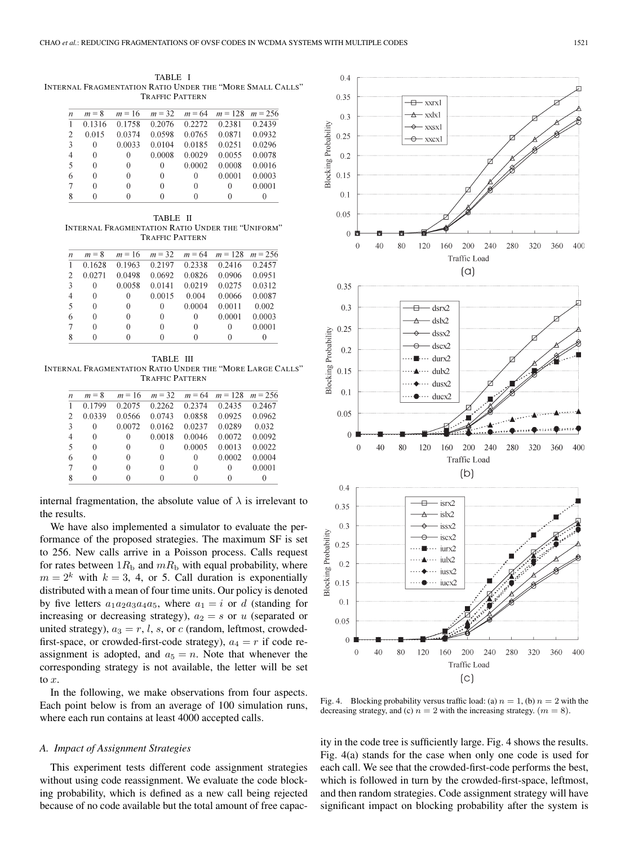TABLE I INTERNAL FRAGMENTATION RATIO UNDER THE "MORE SMALL CALLS" TRAFFIC PATTERN

| $\boldsymbol{n}$ | $m = 8$ | $m = 16$ | $m = 32$ | $m = 64$ | $m = 128$ | $m = 2.56$ |
|------------------|---------|----------|----------|----------|-----------|------------|
|                  | 0.1316  | 0.1758   | 0.2076   | 0.2272   | 0.2381    | 0.2439     |
| $\overline{2}$   | 0.015   | 0.0374   | 0.0598   | 0.0765   | 0.0871    | 0.0932     |
| 3                | 0       | 0.0033   | 0.0104   | 0.0185   | 0.0251    | 0.0296     |
| 4                | 0       | 0        | 0.0008   | 0.0029   | 0.0055    | 0.0078     |
| 5                | 0       | 0        | 0        | 0.0002   | 0.0008    | 0.0016     |
| 6                | 0       | 0        | 0        | 0        | 0.0001    | 0.0003     |
| 7                | 0       | 0        | 0        | 0        | 0         | 0.0001     |
| 8                |         |          |          | 0        |           |            |

TABLE II INTERNAL FRAGMENTATION RATIO UNDER THE "UNIFORM" TRAFFIC PATTERN

| $\boldsymbol{n}$ | $m = 8$  | $m = 16$ | $m = 32$ | $m = 64$ | $m = 128$ | $m = 256$ |
|------------------|----------|----------|----------|----------|-----------|-----------|
|                  | 0.1628   | 0.1963   | 0.2197   | 0.2338   | 0.2416    | 0.2457    |
| 2                | 0.0271   | 0.0498   | 0.0692   | 0.0826   | 0.0906    | 0.0951    |
| 3                | 0        | 0.0058   | 0.0141   | 0.0219   | 0.0275    | 0.0312    |
| $\overline{4}$   | 0        | 0        | 0.0015   | 0.004    | 0.0066    | 0.0087    |
| -5               | 0        | 0        | 0        | 0.0004   | 0.0011    | 0.002     |
| 6                | 0        | 0        | $\Omega$ | 0        | 0.0001    | 0.0003    |
| $\tau$           | 0        | 0        | $\Omega$ | 0        | 0         | 0.0001    |
| 8                | $^{(1)}$ |          | $^{(1)}$ |          |           | $\theta$  |

TABLE III INTERNAL FRAGMENTATION RATIO UNDER THE "MORE LARGE CALLS" TRAFFIC PATTERN

| n | $m = 8$  | $m = 16$ | $m = 32$ | $m = 64$ | $m = 128$ | $m = 2.56$ |
|---|----------|----------|----------|----------|-----------|------------|
| 1 | 0.1799   | 0.2075   | 0.2262   | 0.2374   | 0.2435    | 0.2467     |
| 2 | 0.0339   | 0.0566   | 0.0743   | 0.0858   | 0.0925    | 0.0962     |
| 3 | 0        | 0.0072   | 0.0162   | 0.0237   | 0.0289    | 0.032      |
| 4 | $\Omega$ | 0        | 0.0018   | 0.0046   | 0.0072    | 0.0092     |
| 5 | 0        | $\theta$ | 0        | 0.0005   | 0.0013    | 0.0022     |
| 6 | $\Omega$ | $\Omega$ | $\Omega$ | 0        | 0.0002    | 0.0004     |
| 7 | 0        | 0        | 0        | 0        | 0         | 0.0001     |
| 8 | $\Omega$ | 0        | 0        | 0        | $^{(1)}$  |            |

internal fragmentation, the absolute value of  $\lambda$  is irrelevant to the results.

We have also implemented a simulator to evaluate the performance of the proposed strategies. The maximum SF is set to 256. New calls arrive in a Poisson process. Calls request for rates between  $1R<sub>b</sub>$  and  $mR<sub>b</sub>$  with equal probability, where  $m = 2<sup>k</sup>$  with  $k = 3, 4$ , or 5. Call duration is exponentially distributed with a mean of four time units. Our policy is denoted by five letters  $a_1a_2a_3a_4a_5$ , where  $a_1 = i$  or d (standing for increasing or decreasing strategy),  $a_2 = s$  or u (separated or united strategy),  $a_3 = r$ , l, s, or c (random, leftmost, crowdedfirst-space, or crowded-first-code strategy),  $a_4 = r$  if code reassignment is adopted, and  $a_5 = n$ . Note that whenever the corresponding strategy is not available, the letter will be set to x.

In the following, we make observations from four aspects. Each point below is from an average of 100 simulation runs, where each run contains at least 4000 accepted calls.

#### *A. Impact of Assignment Strategies*

This experiment tests different code assignment strategies without using code reassignment. We evaluate the code blocking probability, which is defined as a new call being rejected because of no code available but the total amount of free capac-



Fig. 4. Blocking probability versus traffic load: (a)  $n = 1$ , (b)  $n = 2$  with the decreasing strategy, and (c)  $n = 2$  with the increasing strategy.  $(m = 8)$ .

ity in the code tree is sufficiently large. Fig. 4 shows the results. Fig. 4(a) stands for the case when only one code is used for each call. We see that the crowded-first-code performs the best, which is followed in turn by the crowded-first-space, leftmost, and then random strategies. Code assignment strategy will have significant impact on blocking probability after the system is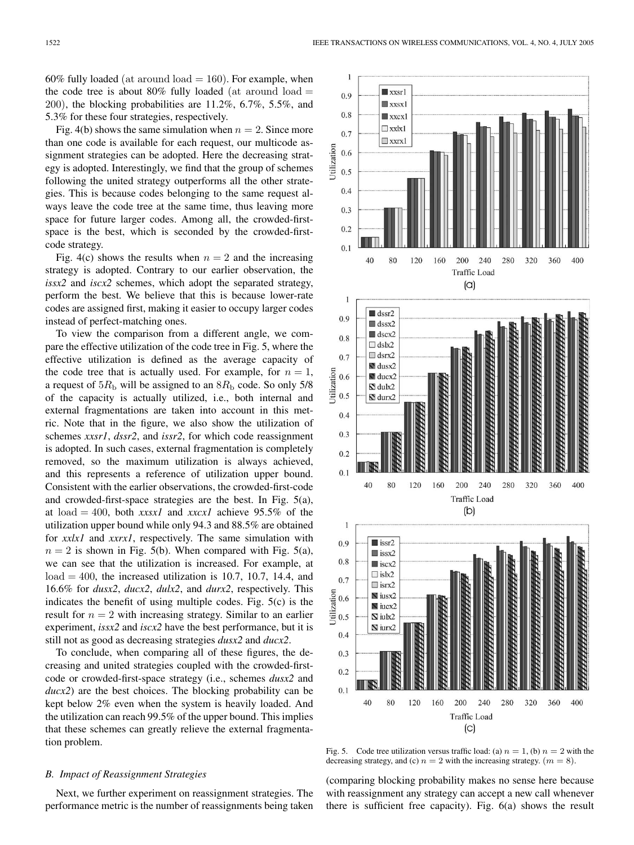60% fully loaded (at around  $load = 160$ ). For example, when the code tree is about 80% fully loaded (at around  $load =$ 200), the blocking probabilities are 11.2%, 6.7%, 5.5%, and 5.3% for these four strategies, respectively.

Fig. 4(b) shows the same simulation when  $n = 2$ . Since more than one code is available for each request, our multicode assignment strategies can be adopted. Here the decreasing strategy is adopted. Interestingly, we find that the group of schemes following the united strategy outperforms all the other strategies. This is because codes belonging to the same request always leave the code tree at the same time, thus leaving more space for future larger codes. Among all, the crowded-firstspace is the best, which is seconded by the crowded-firstcode strategy.

Fig. 4(c) shows the results when  $n = 2$  and the increasing strategy is adopted. Contrary to our earlier observation, the *issx2* and *iscx2* schemes, which adopt the separated strategy, perform the best. We believe that this is because lower-rate codes are assigned first, making it easier to occupy larger codes instead of perfect-matching ones.

To view the comparison from a different angle, we compare the effective utilization of the code tree in Fig. 5, where the effective utilization is defined as the average capacity of the code tree that is actually used. For example, for  $n = 1$ , a request of  $5R<sub>b</sub>$  will be assigned to an  $8R<sub>b</sub>$  code. So only  $5/8$ of the capacity is actually utilized, i.e., both internal and external fragmentations are taken into account in this metric. Note that in the figure, we also show the utilization of schemes *xxsr1*, *dssr2*, and *issr2*, for which code reassignment is adopted. In such cases, external fragmentation is completely removed, so the maximum utilization is always achieved, and this represents a reference of utilization upper bound. Consistent with the earlier observations, the crowded-first-code and crowded-first-space strategies are the best. In Fig. 5(a), at load = 400, both *xxsx1* and *xxcx1* achieve 95.5% of the utilization upper bound while only 94.3 and 88.5% are obtained for *xxlx1* and *xxrx1*, respectively. The same simulation with  $n = 2$  is shown in Fig. 5(b). When compared with Fig. 5(a), we can see that the utilization is increased. For example, at  $load = 400$ , the increased utilization is 10.7, 10.7, 14.4, and 16.6% for *dusx2*, *ducx2*, *dulx2*, and *durx2*, respectively. This indicates the benefit of using multiple codes. Fig. 5(c) is the result for  $n = 2$  with increasing strategy. Similar to an earlier experiment, *issx2* and *iscx2* have the best performance, but it is still not as good as decreasing strategies *dusx2* and *ducx2*.

To conclude, when comparing all of these figures, the decreasing and united strategies coupled with the crowded-firstcode or crowded-first-space strategy (i.e., schemes *dusx2* and *ducx2*) are the best choices. The blocking probability can be kept below 2% even when the system is heavily loaded. And the utilization can reach 99.5% of the upper bound. This implies that these schemes can greatly relieve the external fragmentation problem.

# *B. Impact of Reassignment Strategies*

Next, we further experiment on reassignment strategies. The performance metric is the number of reassignments being taken



Fig. 5. Code tree utilization versus traffic load: (a)  $n = 1$ , (b)  $n = 2$  with the decreasing strategy, and (c)  $n = 2$  with the increasing strategy.  $(m = 8)$ .

(comparing blocking probability makes no sense here because with reassignment any strategy can accept a new call whenever there is sufficient free capacity). Fig. 6(a) shows the result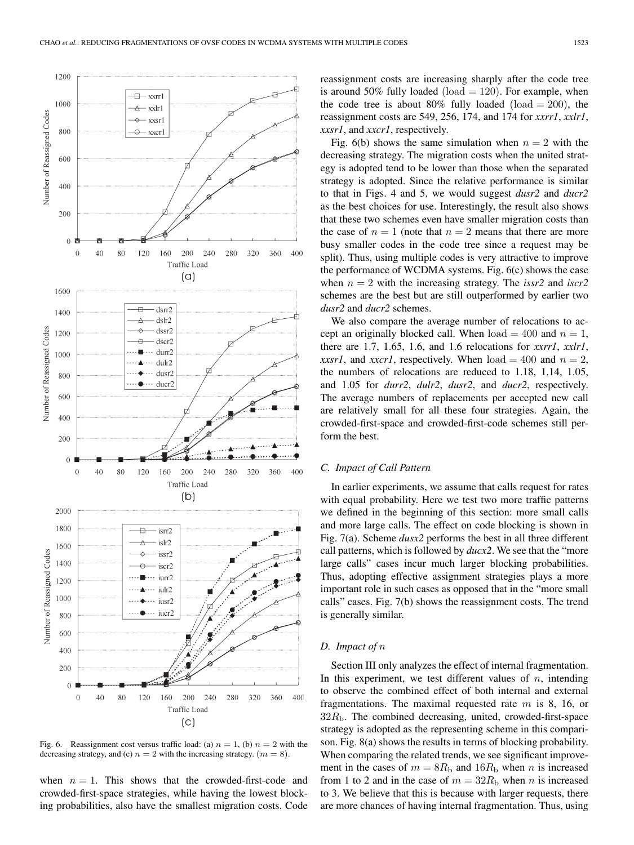

Fig. 6. Reassignment cost versus traffic load: (a)  $n = 1$ , (b)  $n = 2$  with the decreasing strategy, and (c)  $n = 2$  with the increasing strategy.  $(m = 8)$ .

when  $n = 1$ . This shows that the crowded-first-code and crowded-first-space strategies, while having the lowest blocking probabilities, also have the smallest migration costs. Code

reassignment costs are increasing sharply after the code tree is around 50% fully loaded (load  $= 120$ ). For example, when the code tree is about 80% fully loaded (load  $= 200$ ), the reassignment costs are 549, 256, 174, and 174 for *xxrr1*, *xxlr1*, *xxsr1*, and *xxcr1*, respectively.

Fig. 6(b) shows the same simulation when  $n = 2$  with the decreasing strategy. The migration costs when the united strategy is adopted tend to be lower than those when the separated strategy is adopted. Since the relative performance is similar to that in Figs. 4 and 5, we would suggest *dusr2* and *ducr2* as the best choices for use. Interestingly, the result also shows that these two schemes even have smaller migration costs than the case of  $n = 1$  (note that  $n = 2$  means that there are more busy smaller codes in the code tree since a request may be split). Thus, using multiple codes is very attractive to improve the performance of WCDMA systems. Fig. 6(c) shows the case when  $n = 2$  with the increasing strategy. The *issr2* and *iscr2* schemes are the best but are still outperformed by earlier two *dusr2* and *ducr2* schemes.

We also compare the average number of relocations to accept an originally blocked call. When  $load = 400$  and  $n = 1$ , there are 1.7, 1.65, 1.6, and 1.6 relocations for *xxrr1*, *xxlr1*, *xxsr1*, and *xxcr1*, respectively. When  $load = 400$  and  $n = 2$ , the numbers of relocations are reduced to 1.18, 1.14, 1.05, and 1.05 for *durr2*, *dulr2*, *dusr2*, and *ducr2*, respectively. The average numbers of replacements per accepted new call are relatively small for all these four strategies. Again, the crowded-first-space and crowded-first-code schemes still perform the best.

## *C. Impact of Call Pattern*

In earlier experiments, we assume that calls request for rates with equal probability. Here we test two more traffic patterns we defined in the beginning of this section: more small calls and more large calls. The effect on code blocking is shown in Fig. 7(a). Scheme *dusx2* performs the best in all three different call patterns, which is followed by *ducx2*. We see that the "more large calls" cases incur much larger blocking probabilities. Thus, adopting effective assignment strategies plays a more important role in such cases as opposed that in the "more small calls" cases. Fig. 7(b) shows the reassignment costs. The trend is generally similar.

#### *D. Impact of* n

Section III only analyzes the effect of internal fragmentation. In this experiment, we test different values of  $n$ , intending to observe the combined effect of both internal and external fragmentations. The maximal requested rate  $m$  is 8, 16, or  $32R<sub>b</sub>$ . The combined decreasing, united, crowded-first-space strategy is adopted as the representing scheme in this comparison. Fig. 8(a) shows the results in terms of blocking probability. When comparing the related trends, we see significant improvement in the cases of  $m = 8R<sub>b</sub>$  and  $16R<sub>b</sub>$  when n is increased from 1 to 2 and in the case of  $m = 32R<sub>b</sub>$  when n is increased to 3. We believe that this is because with larger requests, there are more chances of having internal fragmentation. Thus, using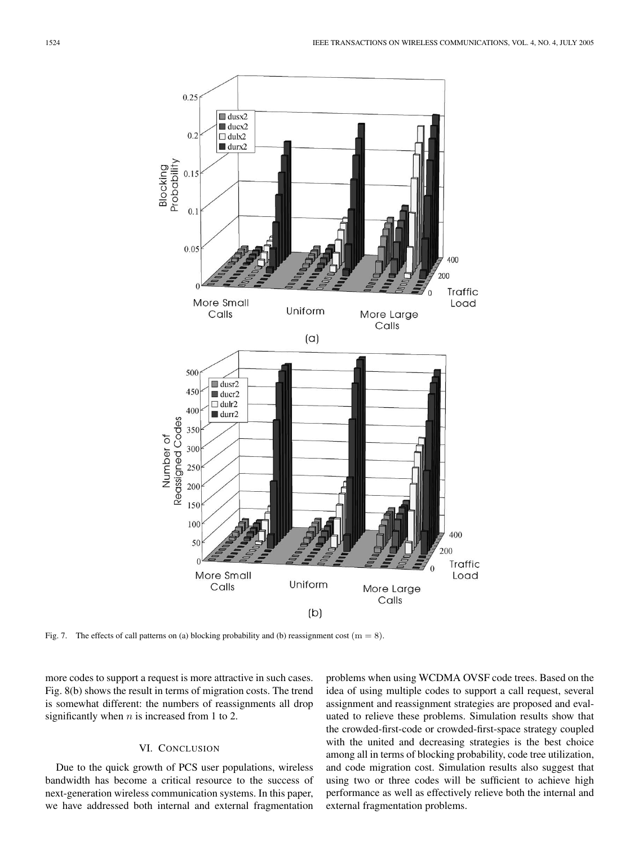

Fig. 7. The effects of call patterns on (a) blocking probability and (b) reassignment cost  $(m = 8)$ .

more codes to support a request is more attractive in such cases. Fig. 8(b) shows the result in terms of migration costs. The trend is somewhat different: the numbers of reassignments all drop significantly when  $n$  is increased from 1 to 2.

# VI. CONCLUSION

Due to the quick growth of PCS user populations, wireless bandwidth has become a critical resource to the success of next-generation wireless communication systems. In this paper, we have addressed both internal and external fragmentation problems when using WCDMA OVSF code trees. Based on the idea of using multiple codes to support a call request, several assignment and reassignment strategies are proposed and evaluated to relieve these problems. Simulation results show that the crowded-first-code or crowded-first-space strategy coupled with the united and decreasing strategies is the best choice among all in terms of blocking probability, code tree utilization, and code migration cost. Simulation results also suggest that using two or three codes will be sufficient to achieve high performance as well as effectively relieve both the internal and external fragmentation problems.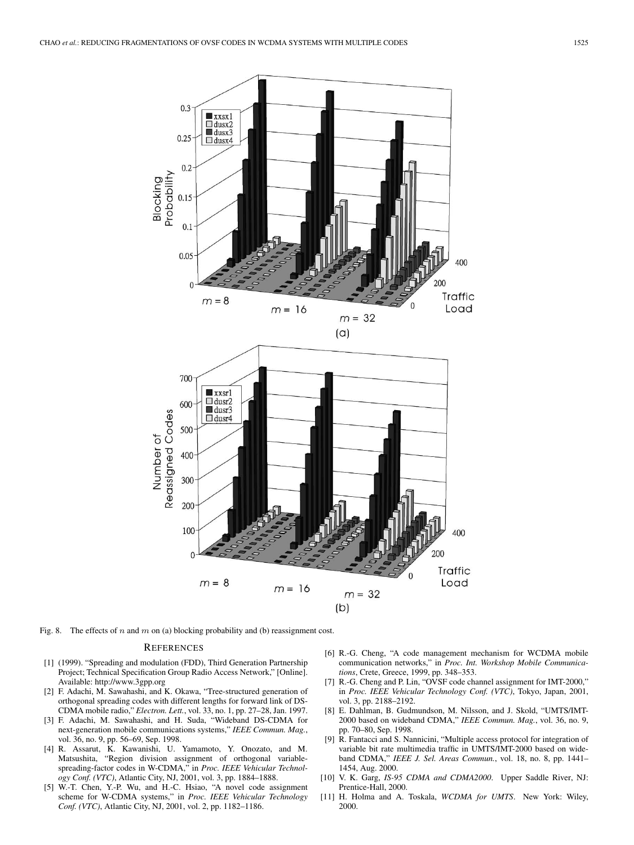

Fig. 8. The effects of *n* and *m* on (a) blocking probability and (b) reassignment cost.

#### **REFERENCES**

- [1] (1999). "Spreading and modulation (FDD), Third Generation Partnership Project; Technical Specification Group Radio Access Network," [Online]. Available: http://www.3gpp.org
- [2] F. Adachi, M. Sawahashi, and K. Okawa, "Tree-structured generation of orthogonal spreading codes with different lengths for forward link of DS-CDMA mobile radio," *Electron. Lett.*, vol. 33, no. 1, pp. 27–28, Jan. 1997.
- [3] F. Adachi, M. Sawahashi, and H. Suda, "Wideband DS-CDMA for next-generation mobile communications systems," *IEEE Commun. Mag.*, vol. 36, no. 9, pp. 56–69, Sep. 1998.
- [4] R. Assarut, K. Kawanishi, U. Yamamoto, Y. Onozato, and M. Matsushita, "Region division assignment of orthogonal variablespreading-factor codes in W-CDMA," in *Proc. IEEE Vehicular Technology Conf. (VTC)*, Atlantic City, NJ, 2001, vol. 3, pp. 1884–1888.
- [5] W.-T. Chen, Y.-P. Wu, and H.-C. Hsiao, "A novel code assignment scheme for W-CDMA systems," in *Proc. IEEE Vehicular Technology Conf. (VTC)*, Atlantic City, NJ, 2001, vol. 2, pp. 1182–1186.
- [6] R.-G. Cheng, "A code management mechanism for WCDMA mobile communication networks," in *Proc. Int. Workshop Mobile Communications*, Crete, Greece, 1999, pp. 348–353.
- [7] R.-G. Cheng and P. Lin, "OVSF code channel assignment for IMT-2000," in *Proc. IEEE Vehicular Technology Conf. (VTC)*, Tokyo, Japan, 2001, vol. 3, pp. 2188–2192.
- [8] E. Dahlman, B. Gudmundson, M. Nilsson, and J. Skold, "UMTS/IMT-2000 based on wideband CDMA," *IEEE Commun. Mag.*, vol. 36, no. 9, pp. 70–80, Sep. 1998.
- [9] R. Fantacci and S. Nannicini, "Multiple access protocol for integration of variable bit rate multimedia traffic in UMTS/IMT-2000 based on wideband CDMA," *IEEE J. Sel. Areas Commun.*, vol. 18, no. 8, pp. 1441– 1454, Aug. 2000.
- [10] V. K. Garg, *IS-95 CDMA and CDMA2000*. Upper Saddle River, NJ: Prentice-Hall, 2000.
- [11] H. Holma and A. Toskala, *WCDMA for UMTS*. New York: Wiley, 2000.